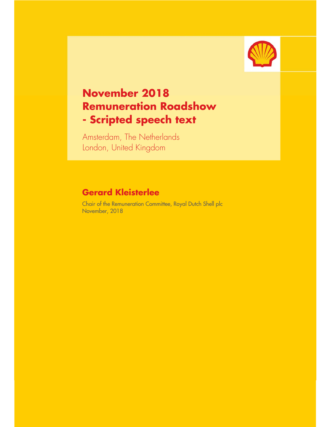

## **November 2018 Remuneration Roadshow - Scripted speech text**

Amsterdam, The Netherlands London, United Kingdom

## **Gerard Kleisterlee**

Chair of the Remuneration Committee, Royal Dutch Shell plc November, 2018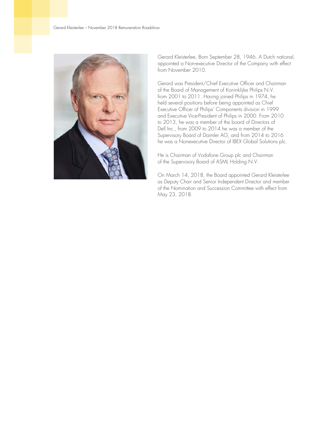

Gerard Kleisterlee, Born September 28, 1946. A Dutch national, appointed a Non-executive Director of the Company with effect from November 2010.

Gerard was President/Chief Executive Officer and Chairman of the Board of Management of Koninklijke Philips N.V. from 2001 to 2011. Having joined Philips in 1974, he held several positions before being appointed as Chief Executive Officer of Philips' Components division in 1999 and Executive Vice-President of Philips in 2000. From 2010 to 2013, he was a member of the board of Directors of Dell Inc., from 2009 to 2014 he was a member of the Supervisory Board of Daimler AG, and from 2014 to 2016 he was a Nonexecutive Director of IBEX Global Solutions plc.

He is Chairman of Vodafone Group plc and Chairman of the Supervisory Board of ASML Holding N.V.

On March 14, 2018, the Board appointed Gerard Kleisterlee as Deputy Chair and Senior Independent Director and member of the Nomination and Succession Committee with effect from May 23, 2018.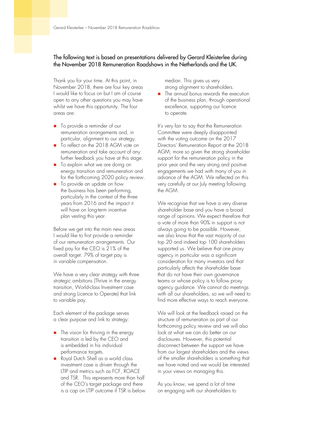## The following text is based on presentations delivered by Gerard Kleisterlee during the November 2018 Remuneration Roadshows in the Netherlands and the UK.

Thank you for your time. At this point, in November 2018, there are four key areas I would like to focus on but I am of course open to any other questions you may have whilst we have this opportunity. The four areas are:

- To provide a reminder of our remuneration arrangements and, in particular, alignment to our strategy.
- To reflect on the 2018 AGM vote on remuneration and take account of any further feedback you have at this stage.
- To explain what we are doing on energy transition and remuneration and for the forthcoming 2020 policy review.
- $\blacksquare$  To provide an update on how the business has been performing, particularly in the context of the three years from 2016 and the impact it will have on long-term incentive plan vesting this year.

Before we get into the main new areas I would like to first provide a reminder of our remuneration arrangements. Our fixed pay for the CEO is 21% of the overall target. 79% of target pay is in variable compensation.

We have a very clear strategy with three strategic ambitions (Thrive in the energy transition, World-class Investment case and strong Licence to Operate) that link to variable pay.

Each element of the package serves a clear purpose and link to strategy:

- $\blacksquare$  The vision for thriving in the energy transition is led by the CEO and is embedded in his individual performance targets.
- Royal Dutch Shell as a world class investment case is driven through the LTIP and metrics such as FCF, ROACE and TSR. This represents more than half of the CEO's target package and there is a cap on LTIP outcome if TSR is below

median. This gives us very strong alignment to shareholders.

**The annual bonus rewards the execution** of the business plan, through operational excellence, supporting our licence to operate.

It's very fair to say that the Remuneration Committee were deeply disappointed with the voting outcome on the 2017 Directors' Remuneration Report at the 2018 AGM; more so given the strong shareholder support for the remuneration policy in the prior year and the very strong and positive engagements we had with many of you in advance of the AGM. We reflected on this very carefully at our July meeting following the AGM.

We recognise that we have a very diverse shareholder base and you have a broad range of opinions. We expect therefore that a vote of more than 90% in support is not always going to be possible. However, we also know that the vast majority of our top 20 and indeed top 100 shareholders supported us. We believe that one proxy agency in particular was a significant consideration for many investors and that particularly affects the shareholder base that do not have their own governance teams or whose policy is to follow proxy agency guidance. We cannot do meetings with all our shareholders, so we will need to find more effective ways to reach everyone.

We will look at the feedback raised on the structure of remuneration as part of our forthcoming policy review and we will also look at what we can do better on our disclosures. However, this potential disconnect between the support we have from our largest shareholders and the views of the smaller shareholders is something that we have noted and we would be interested in your views on managing this.

As you know, we spend a lot of time on engaging with our shareholders to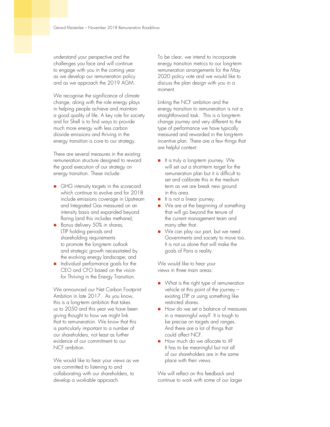understand your perspective and the challenges you face and will continue to engage with you in the coming year as we develop our remuneration policy and as we approach the 2019 AGM.

We recognise the significance of climate change, along with the role energy plays in helping people achieve and maintain a good quality of life. A key role for society and for Shell is to find ways to provide much more energy with less carbon dioxide emissions and thriving in the energy transition is core to our strategy.

There are several measures in the existing remuneration structure designed to reward the good execution of our strategy on energy transition. These include:

- GHG intensity targets in the scorecard which continue to evolve and for 2018 include emissions coverage in Upstream and Integrated Gas measured on an intensity basis and expanded beyond flaring (and this includes methane);
- Bonus delivery 50% in shares, LTIP holding periods and shareholding requirements to promote the long-term outlook and strategic growth necessitated by the evolving energy landscape; and
- Individual performance goals for the CEO and CFO based on the vision for Thriving in the Energy Transition.

We announced our Net Carbon Footprint Ambition in late 2017. As you know, this is a long-term ambition that takes us to 2050 and this year we have been giving thought to how we might link that to remuneration. We know that this is particularly important to a number of our shareholders, not least as further evidence of our commitment to our NCF ambition.

We would like to hear your views as we are committed to listening to and collaborating with our shareholders, to develop a workable approach.

To be clear, we intend to incorporate energy transition metrics to our long-term remuneration arrangements for the May 2020 policy vote and we would like to discuss the plan design with you in a moment.

Linking the NCF ambition and the energy transition to remuneration is not a straightforward task. This is a long-term change journey and very different to the type of performance we have typically measured and rewarded in the long-term incentive plan. There are a few things that are helpful context:

- It is truly a long-term journey. We will set out a short-term target for the remuneration plan but it is difficult to set and calibrate this in the medium term as we are break new ground in this area.
- It is not a linear journey.
- We are at the beginning of something that will go beyond the tenure of the current management team and many after that.
- We can play our part, but we need Governments and society to move too. It is not us alone that will make the goals of Paris a reality.

We would like to hear your views in three main areas:

- What is the right type of remuneration vehicle at this point of the journey – existing LTIP or using something like restricted shares.
- How do we set a balance of measures in a meaningful way? It is tough to be precise on targets and ranges. And there are a lot of things that could affect NCF.
- How much do we allocate to it? It has to be meaningful but not all of our shareholders are in the same place with their views.

We will reflect on this feedback and continue to work with some of our larger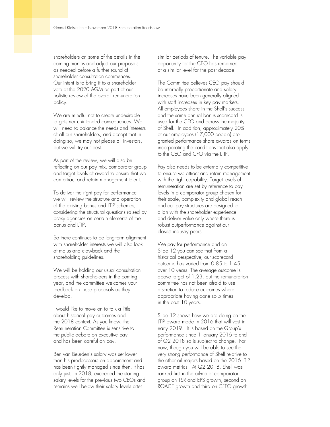shareholders on some of the details in the coming months and adjust our proposals as needed before a further round of shareholder consultation commences. Our intent is to bring it to a shareholder vote at the 2020 AGM as part of our holistic review of the overall remuneration policy.

We are mindful not to create undesirable targets nor unintended consequences. We will need to balance the needs and interests of all our shareholders, and accept that in doing so, we may not please all investors, but we will try our best.

As part of the review, we will also be reflecting on our pay mix, comparator group and target levels of award to ensure that we can attract and retain management talent.

To deliver the right pay for performance we will review the structure and operation of the existing bonus and LTIP schemes, considering the structural questions raised by proxy agencies on certain elements of the bonus and LTIP.

So there continues to be long-term alignment with shareholder interests we will also look at malus and clawback and the shareholding guidelines.

We will be holding our usual consultation process with shareholders in the coming year, and the committee welcomes your feedback on these proposals as they develop.

I would like to move on to talk a little about historical pay outcomes and the 2018 context. As you know, the Remuneration Committee is sensitive to the public debate on executive pay and has been careful on pay.

Ben van Beurden's salary was set lower than his predecessors on appointment and has been tightly managed since then. It has only just, in 2018, exceeded the starting salary levels for the previous two CEOs and remains well below their salary levels after

similar periods of tenure. The variable pay opportunity for the CEO has remained at a similar level for the past decade.

The Committee believes CEO pay should be internally proportionate and salary increases have been generally aligned with staff increases in key pay markets. All employees share in the Shell's success and the same annual bonus scorecard is used for the CEO and across the majority of Shell. In addition, approximately 20% of our employees (17,000 people) are granted performance share awards on terms incorporating the conditions that also apply to the CEO and CFO via the LTIP.

Pay also needs to be externally competitive to ensure we attract and retain management with the right capability. Target levels of remuneration are set by reference to pay levels in a comparator group chosen for their scale, complexity and global reach and our pay structures are designed to align with the shareholder experience and deliver value only where there is robust outperformance against our closest industry peers.

We pay for performance and on Slide 12 you can see that from a historical perspective, our scorecard outcome has varied from 0.85 to 1.45 over 10 years. The average outcome is above target of 1.23, but the remuneration committee has not been afraid to use discretion to reduce outcomes where appropriate having done so 5 times in the past 10 years.

Slide 12 shows how we are doing on the LTIP award made in 2016 that will vest in early 2019. It is based on the Group's performance since 1 January 2016 to end of Q2 2018 so is subject to change. For now, though you will be able to see the very strong performance of Shell relative to the other oil majors based on the 2016 LTIP award metrics. At Q2 2018, Shell was ranked first in the oil-major comparator group on TSR and EPS growth, second on ROACE growth and third on CFFO growth.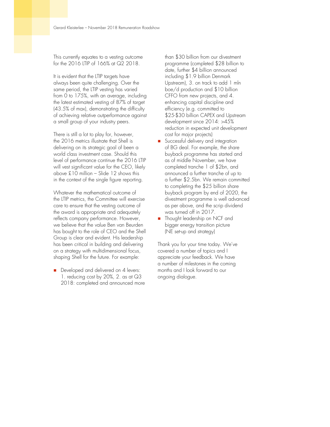This currently equates to a vesting outcome for the 2016 LTIP of 166% at Q2 2018.

It is evident that the LTIP targets have always been quite challenging. Over the same period, the LTIP vesting has varied from 0 to 175%, with an average, including the latest estimated vesting of 87% of target (43.5% of max), demonstrating the difficulty of achieving relative outperformance against a small group of your industry peers.

There is still a lot to play for, however, the 2016 metrics illustrate that Shell is delivering on its strategic goal of been a world class investment case. Should this level of performance continue the 2016 LTIP will vest significant value for the CEO, likely above £10 million – Slide 12 shows this in the context of the single figure reporting.

Whatever the mathematical outcome of the LTIP metrics, the Committee will exercise care to ensure that the vesting outcome of the award is appropriate and adequately reflects company performance. However, we believe that the value Ben van Beurden has bought to the role of CEO and the Shell Group is clear and evident. His leadership has been critical in building and delivering on a strategy with multidimensional focus, shaping Shell for the future. For example:

Developed and delivered on 4 levers: 1. reducing cost by 20%, 2. as at Q3 2018: completed and announced more

than \$30 billion from our divestment programme (completed \$28 billion to date, further \$4 billion announced including \$1.9 billion Denmark Upstream), 3. on track to add 1 mln boe/d production and \$10 billion CFFO from new projects, and 4. enhancing capital discipline and efficiency (e.g. committed to \$25-\$30 billion CAPEX and Upstream development since 2014: >45% reduction in expected unit development cost for major projects)

- Successful delivery and integration of BG deal. For example, the share buyback programme has started and as of middle November, we have completed tranche 1 of \$2bn, and announced a further tranche of up to a further \$2.5bn. We remain committed to completing the \$25 billion share buyback program by end of 2020, the divestment programme is well advanced as per above, and the scrip dividend was turned off in 2017.
- Thought leadership on NCF and bigger energy transition picture (NE set-up and strategy)

Thank you for your time today. We've covered a number of topics and I appreciate your feedback. We have a number of milestones in the coming months and I look forward to our ongoing dialogue.